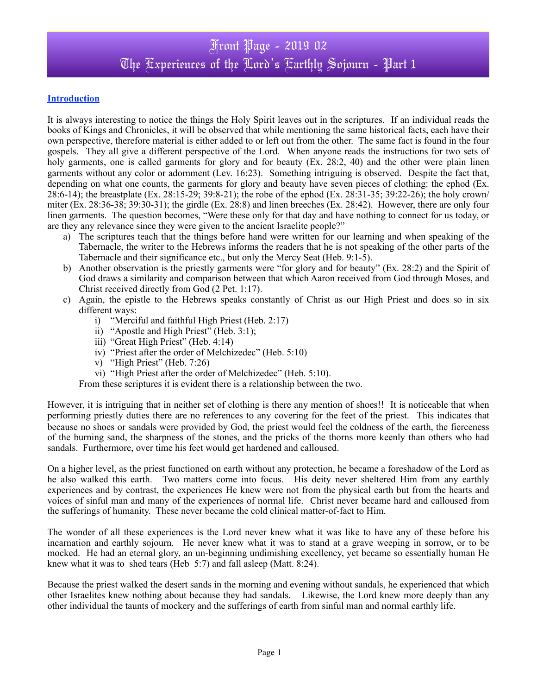### **Introduction**

It is always interesting to notice the things the Holy Spirit leaves out in the scriptures. If an individual reads the books of Kings and Chronicles, it will be observed that while mentioning the same historical facts, each have their own perspective, therefore material is either added to or left out from the other. The same fact is found in the four gospels. They all give a different perspective of the Lord. When anyone reads the instructions for two sets of holy garments, one is called garments for glory and for beauty (Ex. 28:2, 40) and the other were plain linen garments without any color or adornment (Lev. 16:23). Something intriguing is observed. Despite the fact that, depending on what one counts, the garments for glory and beauty have seven pieces of clothing: the ephod (Ex. 28:6-14); the breastplate (Ex. 28:15-29; 39:8-21); the robe of the ephod (Ex. 28:31-35; 39:22-26); the holy crown/ miter (Ex. 28:36-38; 39:30-31); the girdle (Ex. 28:8) and linen breeches (Ex. 28:42). However, there are only four linen garments. The question becomes, "Were these only for that day and have nothing to connect for us today, or are they any relevance since they were given to the ancient Israelite people?"

- a) The scriptures teach that the things before hand were written for our learning and when speaking of the Tabernacle, the writer to the Hebrews informs the readers that he is not speaking of the other parts of the Tabernacle and their significance etc., but only the Mercy Seat (Heb. 9:1-5).
- b) Another observation is the priestly garments were "for glory and for beauty" (Ex. 28:2) and the Spirit of God draws a similarity and comparison between that which Aaron received from God through Moses, and Christ received directly from God (2 Pet. 1:17).
- c) Again, the epistle to the Hebrews speaks constantly of Christ as our High Priest and does so in six different ways:
	- i) "Merciful and faithful High Priest (Heb. 2:17)
	- ii) "Apostle and High Priest" (Heb. 3:1);
	- iii) "Great High Priest" (Heb. 4:14)
	- iv) "Priest after the order of Melchizedec" (Heb. 5:10)
	- v) "High Priest" (Heb. 7:26)
	- vi) "High Priest after the order of Melchizedec" (Heb. 5:10).

From these scriptures it is evident there is a relationship between the two.

However, it is intriguing that in neither set of clothing is there any mention of shoes!! It is noticeable that when performing priestly duties there are no references to any covering for the feet of the priest. This indicates that because no shoes or sandals were provided by God, the priest would feel the coldness of the earth, the fierceness of the burning sand, the sharpness of the stones, and the pricks of the thorns more keenly than others who had sandals.Furthermore, over time his feet would get hardened and calloused.

On a higher level, as the priest functioned on earth without any protection, he became a foreshadow of the Lord as he also walked this earth. Two matters come into focus. His deity never sheltered Him from any earthly experiences and by contrast, the experiences He knew were not from the physical earth but from the hearts and voices of sinful man and many of the experiences of normal life. Christ never became hard and calloused from the sufferings of humanity. These never became the cold clinical matter-of-fact to Him.

The wonder of all these experiences is the Lord never knew what it was like to have any of these before his incarnation and earthly sojourn. He never knew what it was to stand at a grave weeping in sorrow, or to be mocked. He had an eternal glory, an un-beginning undimishing excellency, yet became so essentially human He knew what it was to shed tears (Heb 5:7) and fall asleep (Matt. 8:24).

Because the priest walked the desert sands in the morning and evening without sandals, he experienced that which other Israelites knew nothing about because they had sandals. Likewise, the Lord knew more deeply than any other individual the taunts of mockery and the sufferings of earth from sinful man and normal earthly life.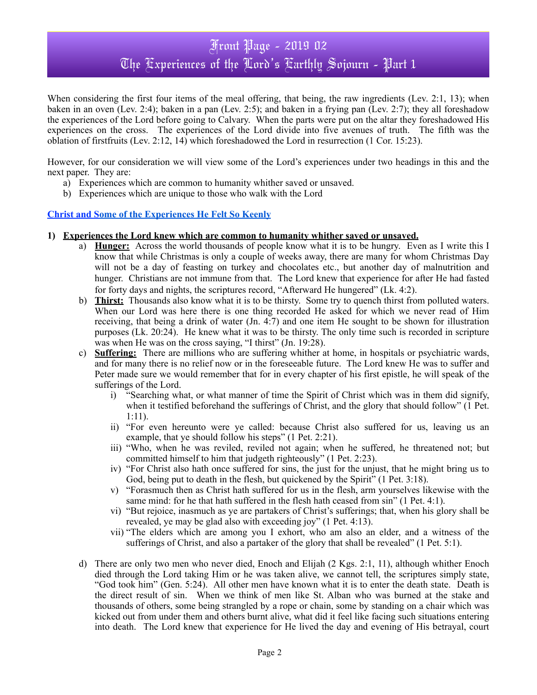# Front Page - 2019 02 The Experiences of the Lord's Earthly Sojourn - Part 1

When considering the first four items of the meal offering, that being, the raw ingredients (Lev. 2:1, 13); when baken in an oven (Lev. 2:4); baken in a pan (Lev. 2:5); and baken in a frying pan (Lev. 2:7); they all foreshadow the experiences of the Lord before going to Calvary. When the parts were put on the altar they foreshadowed His experiences on the cross. The experiences of the Lord divide into five avenues of truth. The fifth was the oblation of firstfruits (Lev. 2:12, 14) which foreshadowed the Lord in resurrection (1 Cor. 15:23).

However, for our consideration we will view some of the Lord's experiences under two headings in this and the next paper. They are:

- a) Experiences which are common to humanity whither saved or unsaved.
- b) Experiences which are unique to those who walk with the Lord

### **Christ and Some of the Experiences He Felt So Keenly**

#### **1) Experiences the Lord knew which are common to humanity whither saved or unsaved.**

- a) **Hunger:** Across the world thousands of people know what it is to be hungry. Even as I write this I know that while Christmas is only a couple of weeks away, there are many for whom Christmas Day will not be a day of feasting on turkey and chocolates etc., but another day of malnutrition and hunger. Christians are not immune from that. The Lord knew that experience for after He had fasted for forty days and nights, the scriptures record, "Afterward He hungered" (Lk. 4:2).
- b) **Thirst:** Thousands also know what it is to be thirsty. Some try to quench thirst from polluted waters. When our Lord was here there is one thing recorded He asked for which we never read of Him receiving, that being a drink of water (Jn. 4:7) and one item He sought to be shown for illustration purposes (Lk. 20:24). He knew what it was to be thirsty. The only time such is recorded in scripture was when He was on the cross saying, "I thirst" (Jn. 19:28).
- c) **Suffering:** There are millions who are suffering whither at home, in hospitals or psychiatric wards, and for many there is no relief now or in the foreseeable future. The Lord knew He was to suffer and Peter made sure we would remember that for in every chapter of his first epistle, he will speak of the sufferings of the Lord.
	- i) "Searching what, or what manner of time the Spirit of Christ which was in them did signify, when it testified beforehand the sufferings of Christ, and the glory that should follow" (1 Pet. 1:11).
	- ii) "For even hereunto were ye called: because Christ also suffered for us, leaving us an example, that ye should follow his steps" (1 Pet. 2:21).
	- iii) "Who, when he was reviled, reviled not again; when he suffered, he threatened not; but committed himself to him that judgeth righteously" (1 Pet. 2:23).
	- iv) "For Christ also hath once suffered for sins, the just for the unjust, that he might bring us to God, being put to death in the flesh, but quickened by the Spirit" (1 Pet. 3:18).
	- v) "Forasmuch then as Christ hath suffered for us in the flesh, arm yourselves likewise with the same mind: for he that hath suffered in the flesh hath ceased from sin" (1 Pet. 4:1).
	- vi) "But rejoice, inasmuch as ye are partakers of Christ's sufferings; that, when his glory shall be revealed, ye may be glad also with exceeding joy" (1 Pet. 4:13).
	- vii) "The elders which are among you I exhort, who am also an elder, and a witness of the sufferings of Christ, and also a partaker of the glory that shall be revealed" (1 Pet. 5:1).
- d) There are only two men who never died, Enoch and Elijah (2 Kgs. 2:1, 11), although whither Enoch died through the Lord taking Him or he was taken alive, we cannot tell, the scriptures simply state, "God took him" (Gen. 5:24). All other men have known what it is to enter the death state. Death is the direct result of sin. When we think of men like St. Alban who was burned at the stake and thousands of others, some being strangled by a rope or chain, some by standing on a chair which was kicked out from under them and others burnt alive, what did it feel like facing such situations entering into death. The Lord knew that experience for He lived the day and evening of His betrayal, court